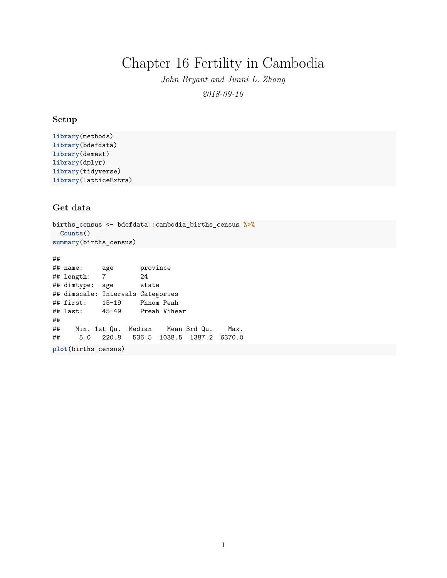# Chapter 16 Fertility in Cambodia

*John Bryant and Junni L. Zhang 2018-09-10*

## **Setup**

```
library(methods)
library(bdefdata)
library(demest)
library(dplyr)
library(tidyverse)
library(latticeExtra)
```
# **Get data**

```
births_census <- bdefdata::cambodia_births_census %>%
  Counts()
summary(births_census)
```
## ## name: age province ## length: 7 24 ## dimtype: age state ## dimscale: Intervals Categories ## first: 15-19 Phnom Penh ## last: 45-49 Preah Vihear ## ## Min. 1st Qu. Median Mean 3rd Qu. Max. ## 5.0 220.8 536.5 1038.5 1387.2 6370.0 **plot**(births\_census)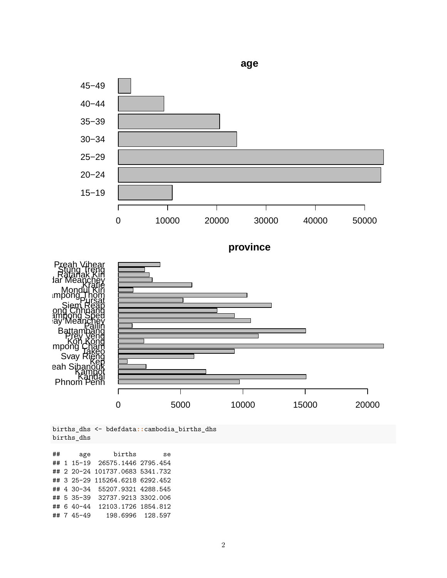

births\_dhs <- bdefdata**::**cambodia\_births\_dhs births\_dhs

## age births se ## 1 15-19 26575.1446 2795.454 ## 2 20-24 101737.0683 5341.732 ## 3 25-29 115264.6218 6292.452 ## 4 30-34 55207.9321 4288.545 ## 5 35-39 32737.9213 3302.006 ## 6 40-44 12103.1726 1854.812 ## 7 45-49 198.6996 128.597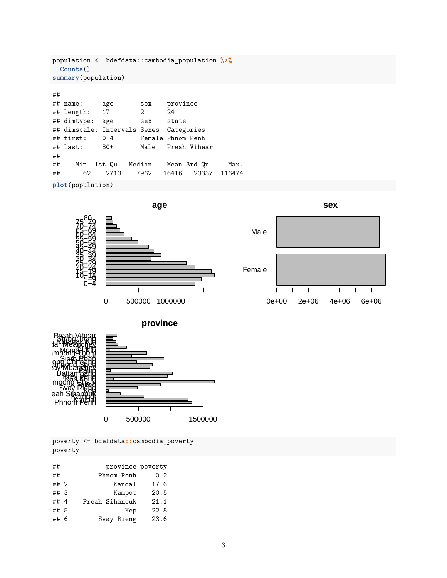```
population <- bdefdata::cambodia_population %>%
 Counts()
summary(population)
##
## name: age sex province
## length: 17 2 24
## dimtype: age sex state
## dimscale: Intervals Sexes Categories
## first: 0-4 Female Phnom Penh
## last: 80+ Male Preah Vihear
##<br>##
    Min. 1st Qu. Median Mean 3rd Qu. Max.
## 62 2713 7962 16416 23337 116474
```

```
plot(population)
```






poverty <- bdefdata**::**cambodia\_poverty poverty

| ##     | province poverty |      |
|--------|------------------|------|
| ## $1$ | Phnom Penh       | 0.2  |
| ## 2   | Kandal           | 17.6 |
| $##$ 3 | Kampot           | 20.5 |
| ## 4   | Preah Sihanouk   | 21.1 |
| ## 5   | Kep              | 22.8 |
| ## 6   | Svay Rieng       | 23.6 |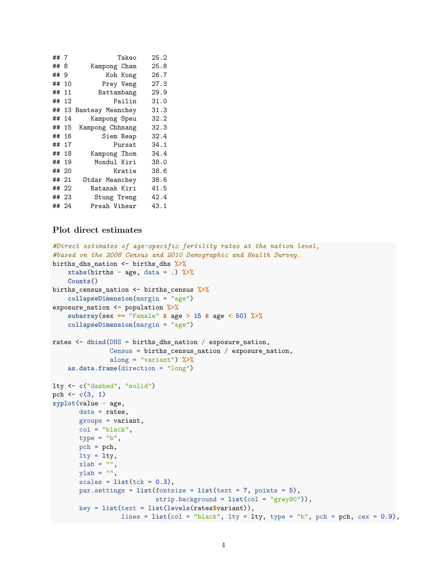| ##7 |       | Takeo            | 25.2 |
|-----|-------|------------------|------|
| ##  | 8     | Kampong Cham     | 25.8 |
| ##  | 9     | Koh Kong         | 26.7 |
| ##  | 10    | Prey Veng        | 27.3 |
| ##  | 11    | Battambang       | 29.9 |
| ##  | 12    | Pailin           | 31.0 |
| ##  | 13    | Banteay Meanchey | 31.3 |
| ##  | 14    | Kampong Speu     | 32.2 |
| ##  | 15    | Kampong Chhnang  | 32.3 |
| ##  | 16    | Siem Reap        | 32.4 |
| ##  | 17    | Pursat           | 34.1 |
| ##  | 18    | Kampong Thom     | 34.4 |
| ##  | 19    | Mondul Kiri      | 38.0 |
| ##  | 20    | Kratie           | 38.6 |
| ##  | 21    | Otdar Meanchey   | 38.6 |
| ##  | -22   | Ratanak Kiri     | 41.5 |
| ##  | - 23  | Stung Treng      | 42.4 |
|     | ## 24 | Preah Vihear     | 43.1 |

# **Plot direct estimates**

```
#Direct estimates of age-specific fertility rates at the nation level,
#based on the 2008 Census and 2010 Demographic and Health Survey.
births_dhs_nation <- births_dhs %>%
    xtabs(births ~ age, data = .) %>%
    Counts()
births_census_nation <- births_census %>%
    collapseDimension(margin = "age")
exposure_nation <- population %>%
    subarray(sex == "Female" & age > 15 & age < 50) %>%
    collapseDimension(margin = "age")
rates <- dbind(DHS = births_dhs_nation / exposure_nation,
               Census = births_census_nation / exposure_nation,
               along = "variant") %>%
    as.data.frame(direction = "long")
lty <- c("dashed", "solid")
pch \leftarrow c(3, 1)xyplot(value ~ age,
       data = rates,groups = variant,
      col = "black",type = "b",pch = pch,
       lty = lty,xlab = "".
       ylab = "",
       scales = list(tck = 0.3),
       par.settings = list(fontsize = list(text = 7, points = 5),
                           strip.background = list(col = "grey90")),
       key = list(text = list(levels(rates$variant)),
                  lines = list(col = "black", lty = lty, type = "b", pch = pch, cex = 0.9),
```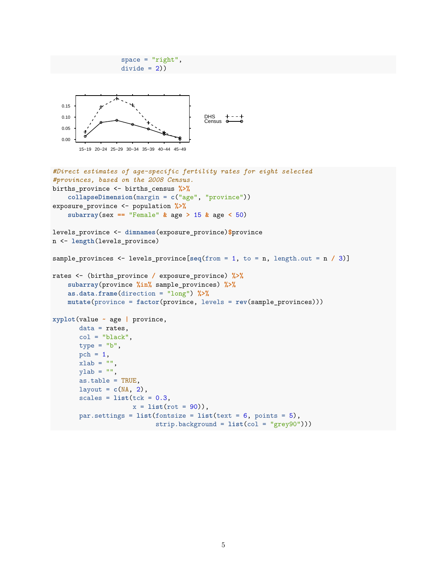```
divide = 2))
  0.00
  0.05
  0.10
  0.15
       15−19 20−24 25−29 30−34 35−39 40−44 45−49
                                          DHS
Census
#Direct estimates of age-specific fertility rates for eight selected
#provinces, based on the 2008 Census.
births_province <- births_census %>%
    collapseDimension(margin = c("age", "province"))
exposure_province <- population %>%
    subarray(sex == "Female" & age > 15 & age < 50)
levels_province <- dimnames(exposure_province)$province
n <- length(levels_province)
sample_provinces <- levels_province[seq(from = 1, to = n, length.out = n / 3)]
rates <- (births_province / exposure_province) %>%
    subarray(province %in% sample_provinces) %>%
    as.data.frame(direction = "long") %>%
    mutate(province = factor(province, levels = rev(sample_provinces)))
xyplot(value ~ age | province,
       data = rates,
       col = "black",type = "b",pch = 1,
       xlab = ""
       v \text{lab} = "",
       as.table = TRUE,
       layout = c(NA, 2),
       scales = list(tck = 0.3,x = list(rot = 90),
       par.settings = list(fontsize = list(text = 6, points = 5),
                            strip.background = list(col = "grey90")))
```
 $space = "right",$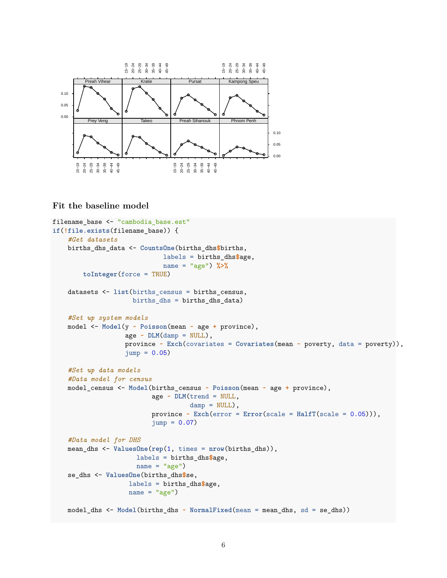

# **Fit the baseline model**

```
filename_base <- "cambodia_base.est"
if(!file.exists(filename_base)) {
    #Get datasets
    births_dhs_data <- CountsOne(births_dhs$births,
                             labels = births_dhs$age,
                             name = "age") %>%
        toInteger(force = TRUE)
    datasets <- list(births_census = births_census,
                     births_dhs = births_dhs_data)
    #Set up system models
    model <- Model(y ~ Poisson(mean ~ age + province),
                   age \sim \text{DLM}(\text{damp} = \text{NULL}),province ~ Exch(covariates = Covariates(mean ~ poverty, data = poverty)),
                   jump = 0.05#Set up data models
    #Data model for census
    model_census <- Model(births_census ~ Poisson(mean ~ age + province),
                           age ~ DLM(trend = NULL,
                                     damp = NULL,
                          province ~ Exch(error = Error(scale = HalfT(scale = 0.05))),
                          jump = 0.07)
    #Data model for DHS
    mean_dhs <- ValuesOne(rep(1, times = nrow(births_dhs)),
                      labels = births_dhs$age,
                      name = "age")se_dhs <- ValuesOne(births_dhs$se,
                    labels = births_dhs$age,
                    name = "age")model_dhs <- Model(births_dhs ~ NormalFixed(mean = mean_dhs, sd = se_dhs))
```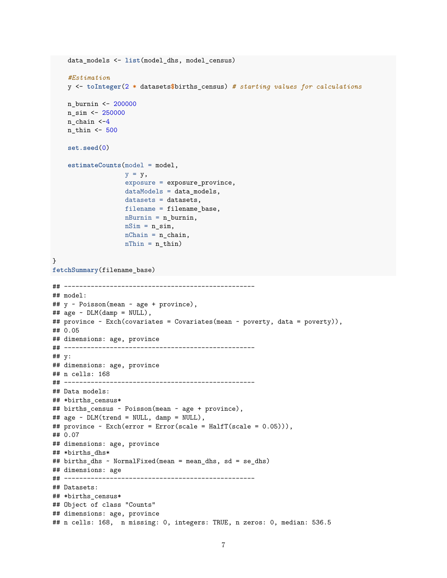```
data_models <- list(model_dhs, model_census)
    #Estimation
    y <- toInteger(2 * datasets$births_census) # starting values for calculations
    n_burnin <- 200000
    n_sim <- 250000
    n chain <-4n_thin <- 500
    set.seed(0)
    estimateCounts(model = model,
                   y = y,
                   exposure = exposure_province,
                   dataModels = data_models,
                   datasets = datasets,
                   filename = filename_base,
                   n\text{Burnin} = n_\text{burnin},
                   nSim = n_sim,nChain = n chain,
                   nThin = n_thin)}
fetchSummary(filename_base)
## --------------------------------------------------
## model:
## y ~ Poisson(mean ~ age + province),
\## age ~ DLM(damp = NULL),
## province ~ Exch(covariates = Covariates(mean ~ poverty, data = poverty)),
## 0.05
## dimensions: age, province
## --------------------------------------------------
## y:
## dimensions: age, province
## n cells: 168
## --------------------------------------------------
## Data models:
## *births_census*
## births_census ~ Poisson(mean ~ age + province),
## age ~ DLM(trend = NULL, damp = NULL),
## province ~ Exch(error = Error(scale = HalfT(scale = 0.05))),
## 0.07
## dimensions: age, province
## *births_dhs*
## births_dhs ~ NormalFixed(mean = mean_dhs, sd = se_dhs)
## dimensions: age
## --------------------------------------------------
## Datasets:
## *births_census*
## Object of class "Counts"
## dimensions: age, province
## n cells: 168, n missing: 0, integers: TRUE, n zeros: 0, median: 536.5
```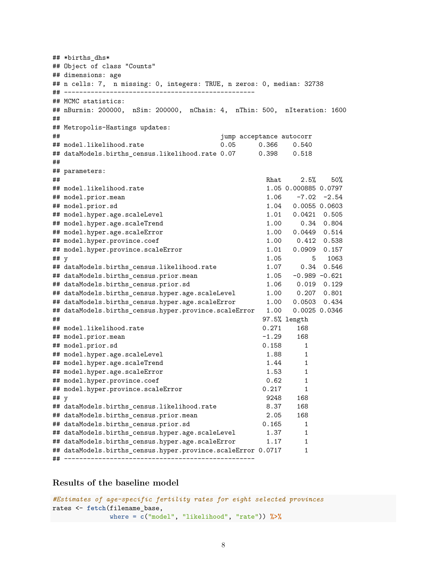## \*births dhs\* ## Object of class "Counts" ## dimensions: age ## n cells: 7, n missing: 0, integers: TRUE, n zeros: 0, median: 32738 ## -------------------------------------------------- ## MCMC statistics: ## nBurnin: 200000, nSim: 200000, nChain: 4, nThin: 500, nIteration: 1600 ## ## Metropolis-Hastings updates: ## jump acceptance autocorr ## model.likelihood.rate 0.05 0.366 0.540 ## dataModels.births\_census.likelihood.rate 0.07 0.398 0.518 ## ## parameters: ## Rhat 2.5% 50% ## model.likelihood.rate 1.05 0.000885 0.0797 ## model.prior.mean 1.06 -7.02 -2.54 ## model.prior.sd 1.04 0.0055 0.0603 ## model.hyper.age.scaleLevel 1.01 0.0421 0.505 ## model.hyper.age.scaleTrend 1.00 0.34 0.804 ## model.hyper.age.scaleError 1.00 0.0449 0.514 ## model.hyper.province.coef 1.00 0.412 0.538 ## model.hyper.province.scaleError 1.01 0.0909 0.157 ## y 1.05 5 1063 ## dataModels.births\_census.likelihood.rate 1.07 0.34 0.546 ## dataModels.births\_census.prior.mean 1.05 -0.989 -0.621 ## dataModels.births\_census.prior.sd 1.06 0.019 0.129 ## dataModels.births\_census.hyper.age.scaleLevel 1.00 0.207 0.801 ## dataModels.births\_census.hyper.age.scaleError 1.00 0.0503 0.434 ## dataModels.births\_census.hyper.province.scaleError 1.00 0.0025 0.0346 ## 97.5% length ## model.likelihood.rate 0.271 168 ## model.prior.mean  $-1.29$ ## model.prior.sd 0.158 1 ## model.hyper.age.scaleLevel 1.88 1 ## model.hyper.age.scaleTrend 1.44 1 ## model.hyper.age.scaleError 1.53 1 ## model.hyper.province.coef 0.62 1 ## model.hyper.province.scaleError 0.217 1 ## y 9248 168 ## dataModels.births\_census.likelihood.rate 8.37 168 ## dataModels.births\_census.prior.mean 2.05 168 ## dataModels.births\_census.prior.sd 0.165 1 ## dataModels.births\_census.hyper.age.scaleLevel 1.37 1 ## dataModels.births\_census.hyper.age.scaleError 1.17 1 ## dataModels.births\_census.hyper.province.scaleError 0.0717 1 ## --------------------------------------------------

#### **Results of the baseline model**

*#Estimates of age-specific fertility rates for eight selected provinces* rates <- **fetch**(filename\_base, where = **c**("model", "likelihood", "rate")) **%>%**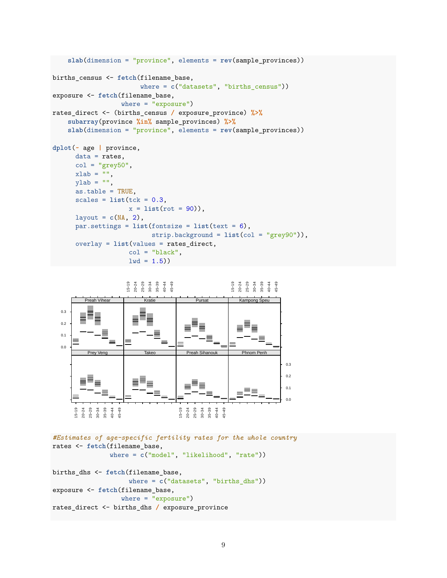```
slab(dimension = "province", elements = rev(sample_provinces))
births_census <- fetch(filename_base,
                       where = c("datasets", "births_census"))
exposure <- fetch(filename_base,
                  where = "exposure")
rates_direct <- (births_census / exposure_province) %>%
    subarray(province %in% sample_provinces) %>%
    slab(dimension = "province", elements = rev(sample_provinces))
dplot(~ age | province,
      data = rates,col = "grey50",xlab = "",
      ylab = "",
      as.table = TRUE,
      scales = list(tck = 0.3,x = 1ist(rot = 90)),
      layout = c(NA, 2),
      par.settings = list(fontsize = list(text = 6),strip.background = list(col = "grey90")),
      overlay = list(values = rates_direct,
                    col = "black",1wd = 1.5)
```


```
#Estimates of age-specific fertility rates for the whole country
rates <- fetch(filename_base,
               where = c("model", "likelihood", "rate"))
births_dhs <- fetch(filename_base,
                    where = c("datasets", "births_dhs"))
exposure <- fetch(filename_base,
                  where = "exposure")rates_direct <- births_dhs / exposure_province
```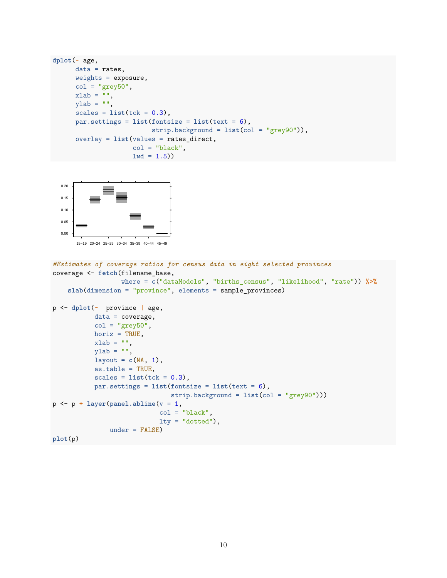```
dplot(~ age,
      data = rates,
      weights = exposure,col = "grey50",xlab = "",
      ylab = "",
      scales = list(tck = 0.3),
     par.settings = list(fontsize = list(text = 6),
                          strip.background = list(col = "grey90")),
      overlay = list(values = rates_direct,
                     col = "black",1wd = 1.5)
```


```
#Estimates of coverage ratios for census data in eight selected provinces
coverage <- fetch(filename_base,
                  where = c("dataModels", "births_census", "likelihood", "rate")) %>%
    slab(dimension = "province", elements = sample_provinces)
p <- dplot(~ province | age,
           data = coverage,
           col = "grey50",horiz = TRUE,
           xlab = "",
           ylab = "",
           layout = c(NA, 1),
           as.table = TRUE,
           scales = list(tck = 0.3),
           par.settings = list(fontsize = list(text = 6),
                               strip.background = list(col = "grey90")))
p <- p + layer(panel.abline(v = 1,
                            col = "black",lty = "dotted"),
               under = FALSE)
plot(p)
```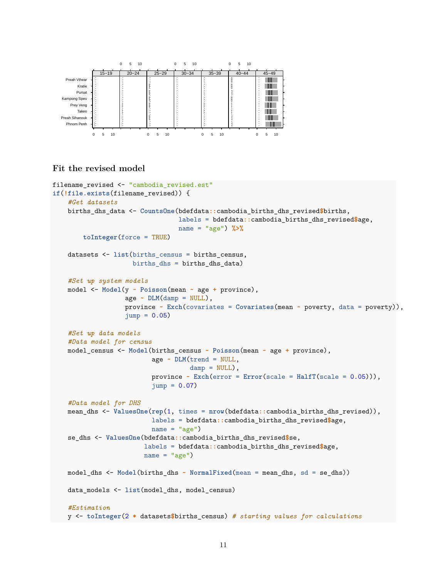

# **Fit the revised model**

```
filename_revised <- "cambodia_revised.est"
if(!file.exists(filename_revised)) {
    #Get datasets
   births_dhs_data <- CountsOne(bdefdata::cambodia_births_dhs_revised$births,
                                 labels = bdefdata::cambodia_births_dhs_revised$age,
                                 name = "age") %>%
        toInteger(force = TRUE)
   datasets <- list(births_census = births_census,
                     births_dhs = births_dhs_data)
   #Set up system models
   model <- Model(y ~ Poisson(mean ~ age + province),
                   age \sim \text{DIM(damp} = \text{NULL}),province ~ Exch(covariates = Covariates(mean ~ poverty, data = poverty)),
                   jump = 0.05#Set up data models
    #Data model for census
   model_census <- Model(births_census ~ Poisson(mean ~ age + province),
                          age ~ DLM(trend = NULL,
                                    damp = NULL,
                          province ~ Exch(error = Error(scale = HalfT(scale = 0.05))),
                          jump = 0.07#Data model for DHS
   mean_dhs <- ValuesOne(rep(1, times = nrow(bdefdata::cambodia_births_dhs_revised)),
                          labels = bdefdata::cambodia_births_dhs_revised$age,
                          name = "age")se_dhs <- ValuesOne(bdefdata::cambodia_births_dhs_revised$se,
                        labels = bdefdata::cambodia_births_dhs_revised$age,
                        name = "age")model_dhs <- Model(births_dhs ~ NormalFixed(mean = mean_dhs, sd = se_dhs))
   data_models <- list(model_dhs, model_census)
    #Estimation
   y <- toInteger(2 * datasets$births_census) # starting values for calculations
```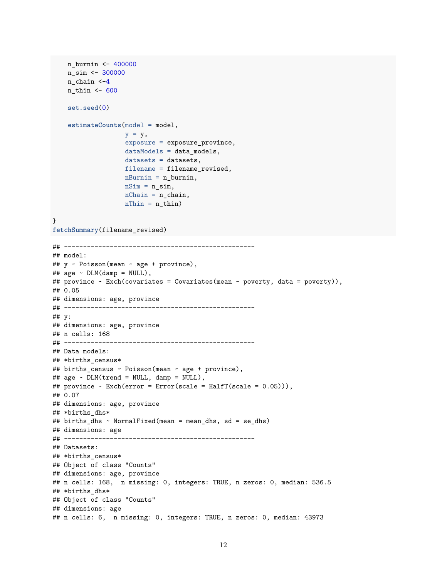```
n_burnin <- 400000
    n_sim <- 300000
    n_chain <-4
    n_thin <- 600
    set.seed(0)
    estimateCounts(model = model,
                   y = y,
                   exposure = exposure_province,
                   dataModels = data_models,
                   datasets = datasets,
                   filename = filename_revised,
                   nBurnin = n_burnin,
                   nSim = n_sim,nChain = n_{chain},
                   nThin = n_thin)}
fetchSummary(filename_revised)
## --------------------------------------------------
## model:
## y ~ Poisson(mean ~ age + province),
\## age ~ DLM(damp = NULL),
## province ~ Exch(covariates = Covariates(mean ~ poverty, data = poverty)),
## 0.05
## dimensions: age, province
## --------------------------------------------------
## y:
## dimensions: age, province
## n cells: 168
## --------------------------------------------------
## Data models:
## *births census*
## births_census ~ Poisson(mean ~ age + province),
## age ~ DLM(trend = NULL, damp = NULL),
## province ~ Exch(error = Error(scale = HalfT(scale = 0.05))),
## 0.07
## dimensions: age, province
## *births_dhs*
## births_dhs ~ NormalFixed(mean = mean_dhs, sd = se_dhs)
## dimensions: age
## --------------------------------------------------
## Datasets:
## *births_census*
## Object of class "Counts"
## dimensions: age, province
## n cells: 168, n missing: 0, integers: TRUE, n zeros: 0, median: 536.5
## *births dhs*
## Object of class "Counts"
## dimensions: age
## n cells: 6, n missing: 0, integers: TRUE, n zeros: 0, median: 43973
```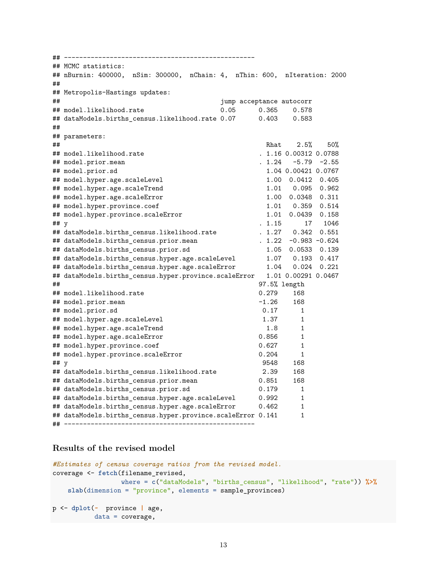## -------------------------------------------------- ## MCMC statistics: ## nBurnin: 400000, nSim: 300000, nChain: 4, nThin: 600, nIteration: 2000 ## ## Metropolis-Hastings updates: ## jump acceptance autocorr ## model.likelihood.rate 0.05 0.365 0.578 ## dataModels.births\_census.likelihood.rate 0.07 0.403 0.583 ## ## parameters: ## Rhat 2.5% 50% ## model.likelihood.rate . 1.16 0.00312 0.0788 ## model.prior.mean . 1.24 -5.79 -2.55 ## model.prior.sd 1.04 0.00421 0.0767 ## model.hyper.age.scaleLevel 1.00 0.0412 0.405 ## model.hyper.age.scaleTrend ## model.hyper.age.scaleError 1.00 0.0348 0.311 ## model.hyper.province.coef 1.01 0.359 0.514 ## model.hyper.province.scaleError 1.01 0.0439 0.158 ## y . 1.15 17 1046 ## dataModels.births\_census.likelihood.rate . 1.27 0.342 0.551 ## dataModels.births census.prior.mean . 1.22 -0.983 -0.624 ## dataModels.births\_census.prior.sd 1.05 0.0533 0.139 ## dataModels.births\_census.hyper.age.scaleLevel 1.07 0.193 0.417 ## dataModels.births\_census.hyper.age.scaleError 1.04 0.024 0.221 ## dataModels.births\_census.hyper.province.scaleError 1.01 0.00291 0.0467 ## 97.5% length ## model.likelihood.rate 0.279 168 ## model.prior.mean -1.26 168 ## model.prior.sd 0.17 1 ## model.hyper.age.scaleLevel 1.37 1 ## model.hyper.age.scaleTrend 1.8 1 ## model.hyper.age.scaleError 0.856 1 ## model.hyper.province.coef 0.627 1 ## model.hyper.province.scaleError 0.204 1 ## y 9548 168 ## dataModels.births\_census.likelihood.rate 2.39 168 ## dataModels.births\_census.prior.mean 0.851 168 ## dataModels.births\_census.prior.sd 0.179 1 ## dataModels.births\_census.hyper.age.scaleLevel 0.992 1 ## dataModels.births\_census.hyper.age.scaleError 0.462 1 ## dataModels.births\_census.hyper.province.scaleError 0.141 1 ## --------------------------------------------------

### **Results of the revised model**

```
#Estimates of census coverage ratios from the revised model.
coverage <- fetch(filename_revised,
                  where = c("dataModels", "births_census", "likelihood", "rate")) %>%
    slab(dimension = "province", elements = sample_provinces)
p <- dplot(~ province | age,
          data = coverage,
```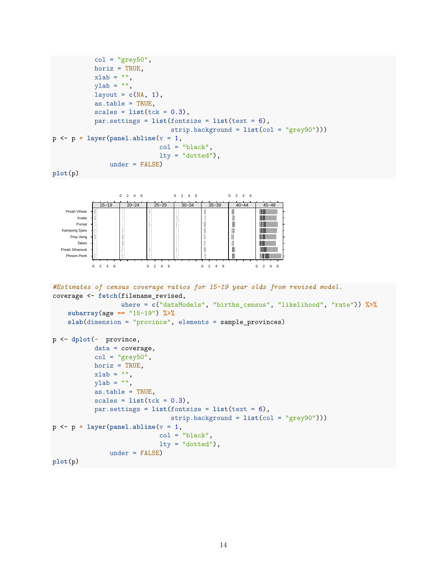```
col = "grey50",horiz = TRUE,
            xlab = "",
            ylab = "",
            layout = c(NA, 1),
            as.table = TRUE,
            scales = list(tck = 0.3),par.settings = list(fontsize = list(text = 6),strip.background = list(col = "grey90")))
p <- p + layer(panel.abline(v = 1,
                               col = "black",lty = "dotted",under = FALSE)
plot(p)
                   0 \t2 \t4 \t60 \t2 \t4 \t60 \t2 \t4 \t620−24
              15−19
                             25−29
                                      30-3435-3940-4445−49
    Preah Vihear
                                                     ll<br>II
                                                             1 II
       Kratie
                                                     Ñ.
       Pursat
                                                             ĦШ
   Kampong Speu
                                                             ŦП
     Prey Veng
                                                     I
                                                             Ш
                                                     ii<br>III
       Takeo
                                                             ш
  Preah Sihanouk
                                                             : I II
    Phnom Penh
                                                             i I
           0 2 4 6
                           0 2 4 6
                                            0 2 4 6
                                                            0 \quad 2 \quad 4#Estimates of census coverage ratios for 15–19 year olds from revised model.
coverage <- fetch(filename_revised,
                    where = c("dataModels", "births_census", "likelihood", "rate")) %>%
    subarray(age == "15-19") %>%
    slab(dimension = "province", elements = sample_provinces)
p <- dplot(~ province,
            data = coverage,
            col = "grey50",horiz = TRUE,
            xlab = "",
            ylab = "",
            as.table = TRUE,
            scales = list(tck = 0.3),
            par.settings = list(fontsize = list(text = 6),
                                   strip.background = list(col = "grey90")))
p <- p + layer(panel.abline(v = 1,
                               col = "black",lty = "dotted"),
                under = FALSE)
plot(p)
```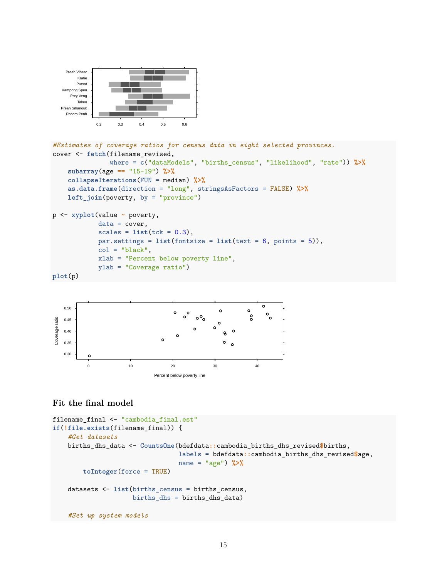

```
#Estimates of coverage ratios for census data in eight selected provinces.
cover <- fetch(filename_revised,
               where = c("dataModels", "births_census", "likelihood", "rate")) %>%
    subarray(age == "15-19") %>%
    collapseIterations(FUN = median) %>%
    as.data.frame(direction = "long", stringsAsFactors = FALSE) %>%
    left_join(poverty, by = "province")
p <- xyplot(value ~ poverty,
            data = cover,
```

```
scales = list(tck = 0.3),par.settings = list(fontsize = list(text = 6, points = 5)),
col = "black",xlab = "Percent below poverty line",
ylab = "Coverage ratio")
```

```
plot(p)
```


# **Fit the final model**

```
filename_final <- "cambodia_final.est"
if(!file.exists(filename_final)) {
    #Get datasets
   births_dhs_data <- CountsOne(bdefdata::cambodia_births_dhs_revised$births,
                                 labels = bdefdata::cambodia_births_dhs_revised$age,
                                 name = "age") %>%
        toInteger(force = TRUE)
   datasets <- list(births_census = births_census,
                     births_dhs = births_dhs_data)
    #Set up system models
```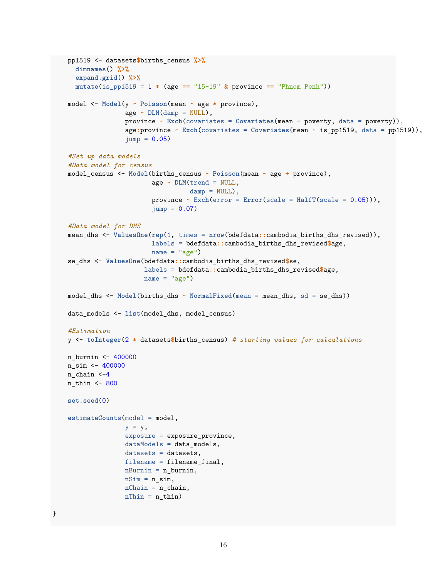```
pp1519 <- datasets$births_census %>%
  dimnames() %>%
  expand.grid() %>%
  mutate(is_pp1519 = 1 * (age == "15-19" & province == "Phnom Penh"))
model <- Model(y ~ Poisson(mean ~ age * province),
               age \sim \text{DIM(damp = NULL)},
               province ~ Exch(covariates = Covariates(mean ~ poverty, data = poverty)),
               age:province ~ Exch(covariates = Covariates(mean ~ is_pp1519, data = pp1519)),
               jump = 0.05#Set up data models
#Data model for census
model_census <- Model(births_census ~ Poisson(mean ~ age + province),
                      age ~ DLM(trend = NULL,
                                damp = NULL,
                      province ~ Exch(error = Error(scale = HalfT(scale = 0.05))),
                      jump = 0.07)
#Data model for DHS
mean_dhs <- ValuesOne(rep(1, times = nrow(bdefdata::cambodia_births_dhs_revised)),
                      labels = bdefdata::cambodia_births_dhs_revised$age,
                      name = "age")se_dhs <- ValuesOne(bdefdata::cambodia_births_dhs_revised$se,
                    labels = bdefdata::cambodia_births_dhs_revised$age,
                    name = "age")model_dhs <- Model(births_dhs ~ NormalFixed(mean = mean_dhs, sd = se_dhs))
data_models <- list(model_dhs, model_census)
#Estimation
y <- toInteger(2 * datasets$births_census) # starting values for calculations
n_burnin <- 400000
n_ssim \leftarrow 400000
n_chain <-4
n_thin <- 800
set.seed(0)
estimateCounts(model = model,
               y = y,
               exposure = exposure_province,
               dataModels = data_models,
               datasets = datasets,
               filename = filename_final,
               nBurnin = n_burnin,
               nSim = n_sim,nChain = n_{chain},
               nThin = n_thin)
```
}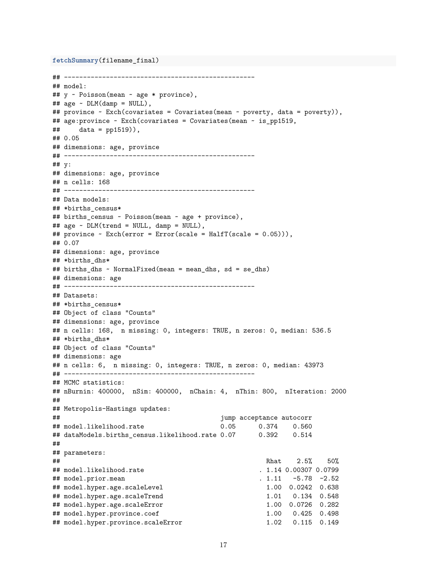```
fetchSummary(filename_final)
```

```
## --------------------------------------------------
## model:
## y ~ Poisson(mean ~ age * province),
## age ~ DLM(damp = NULL),
## province ~ Exch(covariates = Covariates(mean ~ poverty, data = poverty)),
## age:province ~ Exch(covariates = Covariates(mean ~ is_pp1519,
\# data = pp1519),
## 0.05
## dimensions: age, province
## --------------------------------------------------
## y:
## dimensions: age, province
## n cells: 168
## --------------------------------------------------
## Data models:
## *births census*
## births_census ~ Poisson(mean ~ age + province),
## age ~ DLM(trend = NULL, damp = NULL),
## province ~ Exch(error = Error(scale = HalfT(scale = 0.05))),
## 0.07
## dimensions: age, province
## *births_dhs*
## births_dhs ~ NormalFixed(mean = mean_dhs, sd = se_dhs)
## dimensions: age
## --------------------------------------------------
## Datasets:
## *births_census*
## Object of class "Counts"
## dimensions: age, province
## n cells: 168, n missing: 0, integers: TRUE, n zeros: 0, median: 536.5
## *births_dhs*
## Object of class "Counts"
## dimensions: age
## n cells: 6, n missing: 0, integers: TRUE, n zeros: 0, median: 43973
## --------------------------------------------------
## MCMC statistics:
## nBurnin: 400000, nSim: 400000, nChain: 4, nThin: 800, nIteration: 2000
##
## Metropolis-Hastings updates:
## jump acceptance autocorr
## model.likelihood.rate 0.05 0.374 0.560
## dataModels.births census.likelihood.rate 0.07 0.392 0.514
##
## parameters:
## Rhat 2.5% 50%
## model.likelihood.rate . 1.14 0.00307 0.0799
## model.prior.mean . 1.11 -5.78 -2.52
## model.hyper.age.scaleLevel 1.00 0.0242 0.638
## model.hyper.age.scaleTrend 1.01 0.134 0.548
## model.hyper.age.scaleError 1.00 0.0726 0.282
## model.hyper.province.coef 1.00 0.425 0.498
## model.hyper.province.scaleError 1.02 0.115 0.149
```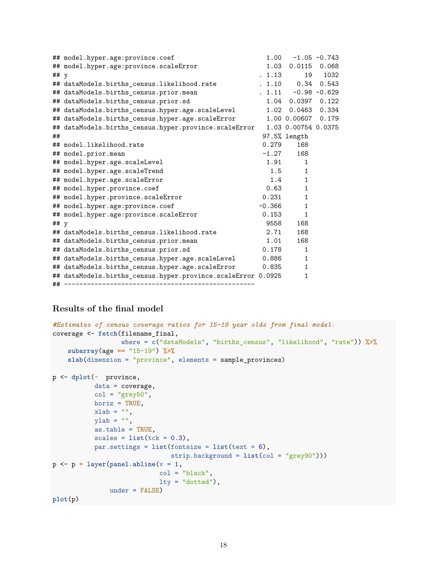|        | ## model.hyper.age:province.coef                             | 1.00     |                         | $-1.05 -0.743$ |
|--------|--------------------------------------------------------------|----------|-------------------------|----------------|
|        | ## model.hyper.age:province.scaleError                       |          | 1.03  0.0115  0.068     |                |
| ## $y$ |                                                              | . 1.13   | 19                      | 1032           |
|        | ## dataModels.births census.likelihood.rate                  |          | . 1.10 0.34 0.543       |                |
|        | ## dataModels.births_census.prior.mean                       |          | $. 1.11 - 0.98 - 0.629$ |                |
|        | ## dataModels.births_census.prior.sd                         |          | 1.04 0.0397 0.122       |                |
|        | ## dataModels.births_census.hyper.age.scaleLevel             |          | 1.02 0.0463 0.334       |                |
|        | ## dataModels.births_census.hyper.age.scaleError             |          | 1.00 0.00607 0.179      |                |
|        | ## dataModels.births_census.hyper.province.scaleError        |          | 1.03 0.00754 0.0375     |                |
| ##     |                                                              |          | $97.5%$ length          |                |
|        | ## model.likelihood.rate                                     | 0.279    | 168                     |                |
|        | ## model.prior.mean                                          | $-1.27$  | 168                     |                |
|        | ## model.hyper.age.scaleLevel                                | 1.91     | 1                       |                |
|        | ## model.hyper.age.scaleTrend                                |          | 1.5<br>$\mathbf{1}$     |                |
|        | ## model.hyper.age.scaleError                                |          | 1.4<br>$\mathbf{1}$     |                |
|        | ## model.hyper.province.coef                                 | 0.63     | $\mathbf{1}$            |                |
|        | ## model.hyper.province.scaleError                           | 0.231    | $\mathbf{1}$            |                |
|        | ## model.hyper.age:province.coef                             | $-0.366$ | $\mathbf{1}$            |                |
|        | ## model.hyper.age:province.scaleError                       | 0.153    | $\mathbf{1}$            |                |
| ## $y$ |                                                              | 9558     | 168                     |                |
|        | ## dataModels.births census.likelihood.rate                  | 2.71     | 168                     |                |
|        | ## dataModels.births_census.prior.mean                       | 1.01     | 168                     |                |
|        | ## dataModels.births_census.prior.sd                         | 0.178    | $\mathbf{1}$            |                |
|        | ## dataModels.births_census.hyper.age.scaleLevel             | 0.886    | $\mathbf{1}$            |                |
|        | ## dataModels.births_census.hyper.age.scaleError             | 0.835    | $\mathbf{1}$            |                |
|        | ## dataModels.births_census.hyper.province.scaleError 0.0925 |          | $\mathbf{1}$            |                |
|        |                                                              |          |                         |                |

# **Results of the final model**

```
#Estimates of census coverage ratios for 15–19 year olds from final model.
coverage <- fetch(filename_final,
                  where = c("dataModels", "births_census", "likelihood", "rate")) %>%
    subarray(age == "15-19") %>%
    slab(dimension = "province", elements = sample_provinces)
p <- dplot(~ province,
           data = coverage,
           col = "grey50",horiz = TRUE,xlab = "",
           ylab = "",
           as.table = TRUE,
           scales = list(tck = 0.3),par.settings = list(fontsize = list(text = 6),
                              strip.background = list(col = "grey90")))
p <- p + layer(panel.abline(v = 1,
                            col = "black",lty = "dotted"),
               under = FALSE)
plot(p)
```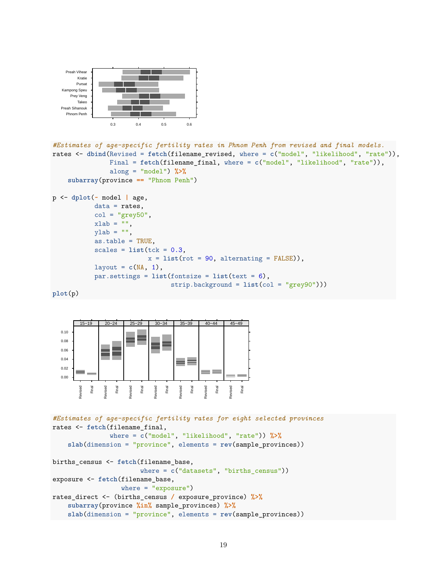

```
#Estimates of age-specific fertility rates in Phnom Penh from revised and final models.
rates <- dbind(Revised = fetch(filename_revised, where = c("model", "likelihood", "rate")),
              Final = fetch(filename_final, where = c("model", "likelihood", "rate")),
              along = "model") %>%
    subarray(province == "Phnom Penh")
```

```
p <- dplot(~ model | age,
           data = rates,col = "grey50",xlab = "",
           ylab = "",
           as.table = TRUE,
           scales = list(tck = 0.3,x = list(root = 90, alternating = FALSE),
           layout = c(NA, 1),
           par.settings = list(fontsize = list(text = 6),
                               strip.background = list(col = "grey90")))
```

```
plot(p)
```


```
#Estimates of age-specific fertility rates for eight selected provinces
rates <- fetch(filename_final,
               where = c("model", "likelihood", "rate")) %>%
    slab(dimension = "province", elements = rev(sample_provinces))
births_census <- fetch(filename_base,
                       where = c("datasets", "births_census"))
exposure <- fetch(filename_base,
                  where = "exposure")
rates_direct <- (births_census / exposure_province) %>%
    subarray(province %in% sample_provinces) %>%
    slab(dimension = "province", elements = rev(sample_provinces))
```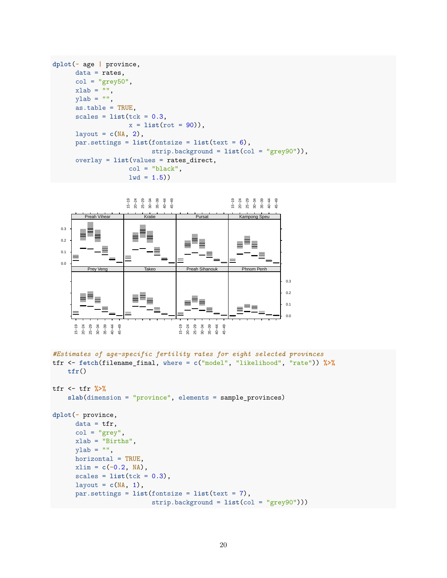```
dplot(~ age | province,
     data = rates,col = "grey50",xlab = "",
     ylab = "",
     as.table = TRUE,
     scales = list(tck = 0.3,x = 1ist(rot = 90)),
     layout = c(NA, 2),
     par.settings = list(fontsize = list(text = 6),
                         strip.background = list(col = "grey90")),
     overlay = list(values = rates_direct,
                    col = "black",1wd = 1.5)
```


```
#Estimates of age-specific fertility rates for eight selected provinces
tfr <- fetch(filename_final, where = c("model", "likelihood", "rate")) %>%
   tfr()
```

```
tfr <- tfr %>%
    slab(dimension = "province", elements = sample_provinces)
```

```
dplot(~ province,
      data = tfr,col = "grey",xlab = "Births",
     ylab = "",
     horizontal = TRUE,
     xlim = c(-0.2, NA),
     scales = list(tck = 0.3),layout = c(NA, 1),
     par.settings = list(fontsize = list(text = 7),
                          strip.background = list(col = "grey90")))
```